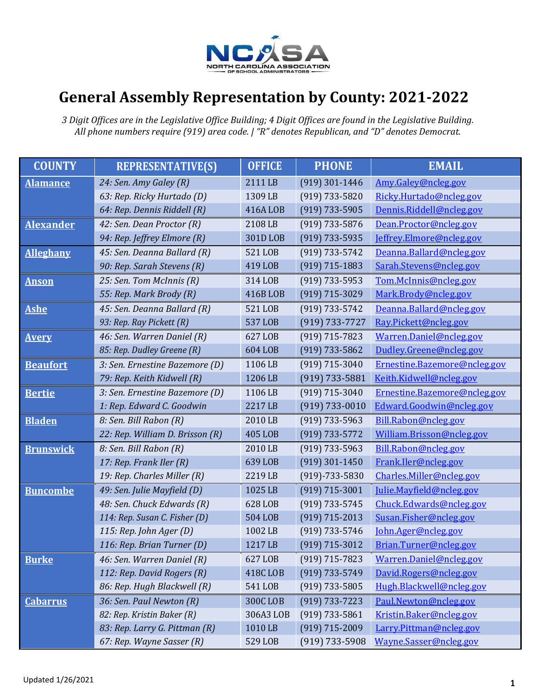

## **General Assembly Representation by County: 2021-2022**

*3 Digit Offices are in the Legislative Office Building; 4 Digit Offices are found in the Legislative Building. All phone numbers require (919) area code. | "R" denotes Republican, and "D" denotes Democrat.*

| <b>COUNTY</b>    | <b>REPRESENTATIVE(S)</b>        | <b>OFFICE</b>  | <b>PHONE</b>         | <b>EMAIL</b>                 |
|------------------|---------------------------------|----------------|----------------------|------------------------------|
| <b>Alamance</b>  | 24: Sen. Amy Galey (R)          | 2111 LB        | $(919)$ 301-1446     | Amy.Galey@ncleg.gov          |
|                  | 63: Rep. Ricky Hurtado (D)      | 1309 LB        | $(919) 733 - 5820$   | Ricky.Hurtado@ncleg.gov      |
|                  | 64: Rep. Dennis Riddell (R)     | 416ALOB        | $(919) 733 - 5905$   | Dennis.Riddell@ncleg.gov     |
| <b>Alexander</b> | 42: Sen. Dean Proctor (R)       | 2108 LB        | $(919)$ 733-5876     | Dean.Proctor@ncleg.gov       |
|                  | 94: Rep. Jeffrey Elmore (R)     | 301D LOB       | $(919) 733 - 5935$   | Jeffrey.Elmore@ncleg.gov     |
| <b>Alleghany</b> | 45: Sen. Deanna Ballard (R)     | 521 LOB        | $(919) 733 - 5742$   | Deanna.Ballard@ncleg.gov     |
|                  | 90: Rep. Sarah Stevens (R)      | 419 LOB        | $(919) 715 - 1883$   | Sarah.Stevens@ncleg.gov      |
| <b>Anson</b>     | 25: Sen. Tom McInnis (R)        | 314 LOB        | $(919) 733 - 5953$   | Tom.McInnis@ncleg.gov        |
|                  | 55: Rep. Mark Brody (R)         | 416B LOB       | $(919)$ 715-3029     | Mark.Brody@ncleg.gov         |
| <b>Ashe</b>      | 45: Sen. Deanna Ballard (R)     | 521 LOB        | $(919) 733 - 5742$   | Deanna.Ballard@ncleg.gov     |
|                  | 93: Rep. Ray Pickett (R)        | 537 LOB        | (919) 733-7727       | Ray.Pickett@ncleg.gov        |
| <b>Avery</b>     | 46: Sen. Warren Daniel (R)      | 627 LOB        | $(919)$ 715-7823     | Warren.Daniel@ncleg.gov      |
|                  | 85: Rep. Dudley Greene (R)      | 604 LOB        | $(919) 733 - 5862$   | Dudley.Greene@ncleg.gov      |
| <b>Beaufort</b>  | 3: Sen. Ernestine Bazemore (D)  | 1106 LB        | $(919)$ 715-3040     | Ernestine.Bazemore@ncleg.gov |
|                  | 79: Rep. Keith Kidwell (R)      | 1206 LB        | $(919) 733 - 5881$   | Keith.Kidwell@ncleg.gov      |
| <b>Bertie</b>    | 3: Sen. Ernestine Bazemore (D)  | 1106 LB        | $(919) 715 - 3040$   | Ernestine.Bazemore@ncleg.gov |
|                  | 1: Rep. Edward C. Goodwin       | 2217 LB        | $(919) 733 - 0010$   | Edward.Goodwin@ncleg.gov     |
| <b>Bladen</b>    | 8: Sen. Bill Rabon (R)          | 2010 LB        | $(919) 733 - 5963$   | Bill.Rabon@ncleg.gov         |
|                  | 22: Rep. William D. Brisson (R) | <b>405 LOB</b> | $(919) 733 - 5772$   | William.Brisson@ncleg.gov    |
| <b>Brunswick</b> | 8: Sen. Bill Rabon (R)          | 2010 LB        | $(919)$ 733-5963     | Bill.Rabon@ncleg.gov         |
|                  | 17: Rep. Frank Iler (R)         | 639 LOB        | $(919)$ 301-1450     | Frank.Iler@ncleg.gov         |
|                  | 19: Rep. Charles Miller (R)     | 2219 LB        | $(919) - 733 - 5830$ | Charles.Miller@ncleg.gov     |
| <b>Buncombe</b>  | 49: Sen. Julie Mayfield (D)     | 1025 LB        | $(919) 715 - 3001$   | Julie.Mayfield@ncleg.gov     |
|                  | 48: Sen. Chuck Edwards (R)      | 628 LOB        | (919) 733-5745       | Chuck.Edwards@ncleg.gov      |
|                  | 114: Rep. Susan C. Fisher (D)   | <b>504 LOB</b> | $(919) 715 - 2013$   | Susan.Fisher@ncleg.gov       |
|                  | 115: Rep. John Ager $(D)$       | 1002LB         | (919) 733-5746       | John.Ager@ncleg.gov          |
|                  | 116: Rep. Brian Turner (D)      | 1217 LB        | (919) 715-3012       | Brian.Turner@ncleg.gov       |
| <b>Burke</b>     | 46: Sen. Warren Daniel (R)      | 627 LOB        | $(919) 715 - 7823$   | Warren.Daniel@ncleg.gov      |
|                  | 112: Rep. David Rogers (R)      | 418C LOB       | $(919) 733 - 5749$   | David.Rogers@ncleg.gov       |
|                  | 86: Rep. Hugh Blackwell (R)     | 541 LOB        | (919) 733-5805       | Hugh.Blackwell@ncleg.gov     |
| <b>Cabarrus</b>  | 36: Sen. Paul Newton (R)        | 300C LOB       | $(919) 733 - 7223$   | Paul.Newton@ncleg.gov        |
|                  | 82: Rep. Kristin Baker (R)      | 306A3 LOB      | $(919) 733 - 5861$   | Kristin.Baker@ncleg.gov      |
|                  | 83: Rep. Larry G. Pittman (R)   | 1010 LB        | (919) 715-2009       | Larry.Pittman@ncleg.gov      |
|                  | 67: Rep. Wayne Sasser (R)       | 529 LOB        | $(919)$ 733-5908     | Wayne.Sasser@ncleg.gov       |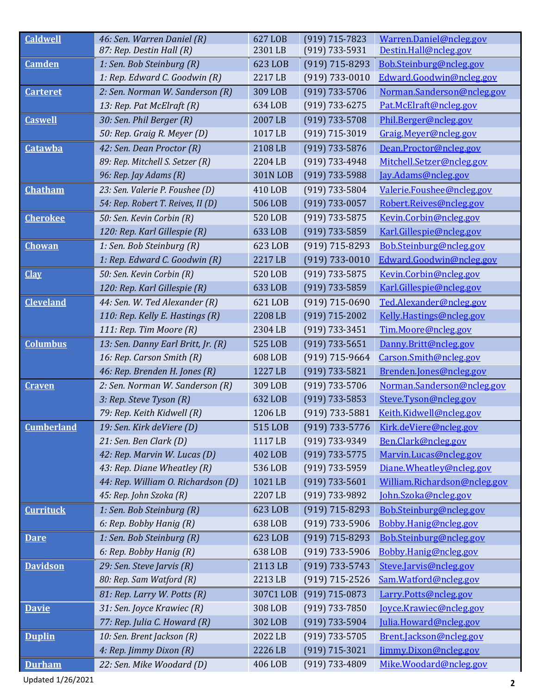| <b>Caldwell</b>   | 46: Sen. Warren Daniel (R)         | 627 LOB<br>2301 LB | $(919)$ 715-7823   | Warren.Daniel@ncleg.gov<br>Destin.Hall@ncleg.gov |
|-------------------|------------------------------------|--------------------|--------------------|--------------------------------------------------|
|                   | 87: Rep. Destin Hall (R)           |                    | $(919) 733 - 5931$ |                                                  |
| <b>Camden</b>     | 1: Sen. Bob Steinburg (R)          | 623 LOB            | $(919)$ 715-8293   | Bob.Steinburg@ncleg.gov                          |
|                   | 1: Rep. Edward C. Goodwin (R)      | 2217 LB            | $(919) 733 - 0010$ | Edward.Goodwin@ncleg.gov                         |
| <b>Carteret</b>   | 2: Sen. Norman W. Sanderson (R)    | 309 LOB            | $(919)$ 733-5706   | Norman.Sanderson@ncleg.gov                       |
|                   | 13: Rep. Pat McElraft (R)          | 634 LOB            | $(919) 733 - 6275$ | Pat.McElraft@ncleg.gov                           |
| <b>Caswell</b>    | 30: Sen. Phil Berger (R)           | 2007 LB            | $(919) 733 - 5708$ | Phil.Berger@ncleg.gov                            |
|                   | 50: Rep. Graig R. Meyer (D)        | 1017 LB            | (919) 715-3019     | Graig.Meyer@ncleg.gov                            |
| <b>Catawba</b>    | 42: Sen. Dean Proctor (R)          | 2108 LB            | $(919)$ 733-5876   | Dean.Proctor@ncleg.gov                           |
|                   | 89: Rep. Mitchell S. Setzer (R)    | 2204 LB            | $(919) 733 - 4948$ | Mitchell.Setzer@ncleg.gov                        |
|                   | 96: Rep. Jay Adams (R)             | <b>301N LOB</b>    | $(919) 733 - 5988$ | Jay.Adams@ncleg.gov                              |
| <b>Chatham</b>    | 23: Sen. Valerie P. Foushee (D)    | 410 LOB            | $(919) 733 - 5804$ | Valerie.Foushee@ncleg.gov                        |
|                   | 54: Rep. Robert T. Reives, II (D)  | 506 LOB            | $(919) 733 - 0057$ | Robert.Reives@ncleg.gov                          |
| <b>Cherokee</b>   | 50: Sen. Kevin Corbin (R)          | 520 LOB            | $(919) 733 - 5875$ | Kevin.Corbin@ncleg.gov                           |
|                   | 120: Rep. Karl Gillespie (R)       | 633 LOB            | $(919) 733 - 5859$ | Karl.Gillespie@ncleg.gov                         |
| <b>Chowan</b>     | 1: Sen. Bob Steinburg (R)          | 623 LOB            | $(919) 715 - 8293$ | Bob.Steinburg@ncleg.gov                          |
|                   | 1: Rep. Edward C. Goodwin (R)      | 2217 LB            | $(919) 733 - 0010$ | Edward.Goodwin@ncleg.gov                         |
| <b>Clay</b>       | 50: Sen. Kevin Corbin (R)          | 520 LOB            | $(919) 733 - 5875$ | Kevin.Corbin@ncleg.gov                           |
|                   | 120: Rep. Karl Gillespie (R)       | 633 LOB            | $(919)$ 733-5859   | Karl.Gillespie@ncleg.gov                         |
| <b>Cleveland</b>  | 44: Sen. W. Ted Alexander (R)      | 621 LOB            | $(919)$ 715-0690   | Ted.Alexander@ncleg.gov                          |
|                   | 110: Rep. Kelly E. Hastings (R)    | 2208 LB            | $(919) 715 - 2002$ | Kelly.Hastings@ncleg.gov                         |
|                   | 111: Rep. Tim Moore (R)            | 2304 LB            | $(919) 733 - 3451$ | Tim.Moore@ncleg.gov                              |
| <b>Columbus</b>   | 13: Sen. Danny Earl Britt, Jr. (R) | 525 LOB            | $(919) 733 - 5651$ | Danny.Britt@ncleg.gov                            |
|                   | 16: Rep. Carson Smith (R)          | 608 LOB            | $(919)$ 715-9664   | Carson.Smith@ncleg.gov                           |
|                   | 46: Rep. Brenden H. Jones (R)      | 1227 LB            | $(919) 733 - 5821$ | Brenden.Jones@ncleg.gov                          |
| Craven            | 2: Sen. Norman W. Sanderson (R)    | 309 LOB            | $(919) 733 - 5706$ | Norman.Sanderson@ncleg.gov                       |
|                   | 3: Rep. Steve Tyson (R)            | 632 LOB            | $(919) 733 - 5853$ | Steve.Tyson@ncleg.gov                            |
|                   | 79: Rep. Keith Kidwell (R)         | 1206 LB            | $(919) 733 - 5881$ | Keith.Kidwell@ncleg.gov                          |
| <b>Cumberland</b> | 19: Sen. Kirk deViere (D)          | 515 LOB            | $(919)$ 733-5776   | Kirk.deViere@ncleg.gov                           |
|                   | 21: Sen. Ben Clark (D)             | 1117 LB            | (919) 733-9349     | Ben.Clark@ncleg.gov                              |
|                   | 42: Rep. Marvin W. Lucas (D)       | 402 LOB            | $(919) 733 - 5775$ | Marvin.Lucas@ncleg.gov                           |
|                   | 43: Rep. Diane Wheatley (R)        | 536 LOB            | (919) 733-5959     | Diane.Wheatley@ncleg.gov                         |
|                   | 44: Rep. William O. Richardson (D) | 1021 LB            | $(919) 733 - 5601$ | William.Richardson@ncleg.gov                     |
|                   | 45: Rep. John Szoka (R)            | 2207 LB            | (919) 733-9892     | John.Szoka@ncleg.gov                             |
| <b>Currituck</b>  | 1: Sen. Bob Steinburg (R)          | 623 LOB            | $(919)$ 715-8293   | Bob.Steinburg@ncleg.gov                          |
|                   | 6: Rep. Bobby Hanig (R)            | 638 LOB            | $(919)$ 733-5906   | Bobby.Hanig@ncleg.gov                            |
|                   | 1: Sen. Bob Steinburg (R)          | 623 LOB            | $(919)$ 715-8293   | Bob.Steinburg@ncleg.gov                          |
| <b>Dare</b>       |                                    | 638 LOB            |                    |                                                  |
|                   | 6: Rep. Bobby Hanig (R)            |                    | $(919)$ 733-5906   | Bobby.Hanig@ncleg.gov                            |
| <b>Davidson</b>   | 29: Sen. Steve Jarvis (R)          | 2113 LB            | $(919) 733 - 5743$ | Steve.Jarvis@ncleg.gov                           |
|                   | 80: Rep. Sam Watford (R)           | 2213 LB            | $(919)$ 715-2526   | Sam.Watford@ncleg.gov                            |
|                   | 81: Rep. Larry W. Potts (R)        | 307C1 LOB          | $(919)$ 715-0873   | Larry.Potts@ncleg.gov                            |
| <b>Davie</b>      | 31: Sen. Joyce Krawiec (R)         | 308 LOB            | $(919) 733 - 7850$ | Joyce.Krawiec@ncleg.gov                          |
|                   | 77: Rep. Julia C. Howard (R)       | 302 LOB            | $(919)$ 733-5904   | Julia.Howard@ncleg.gov                           |
| <b>Duplin</b>     | 10: Sen. Brent Jackson (R)         | 2022 LB            | $(919) 733 - 5705$ | Brent.Jackson@ncleg.gov                          |
|                   | 4: Rep. Jimmy Dixon (R)            | 2226 LB            | $(919) 715 - 3021$ | Jimmy.Dixon@ncleg.gov                            |
| <b>Durham</b>     | 22: Sen. Mike Woodard (D)          | 406 LOB            | $(919)$ 733-4809   | Mike.Woodard@ncleg.gov                           |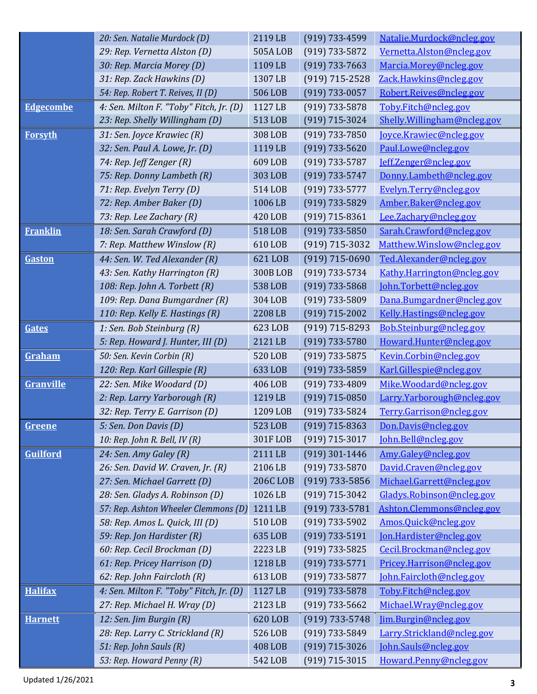|                  | 20: Sen. Natalie Murdock (D)            | 2119 LB         | $(919)$ 733-4599   | Natalie.Murdock@ncleg.gov   |
|------------------|-----------------------------------------|-----------------|--------------------|-----------------------------|
|                  | 29: Rep. Vernetta Alston (D)            | 505ALOB         | $(919) 733 - 5872$ | Vernetta.Alston@ncleg.gov   |
|                  | 30: Rep. Marcia Morey (D)               | 1109 LB         | $(919) 733 - 7663$ | Marcia.Morey@ncleg.gov      |
|                  | 31: Rep. Zack Hawkins (D)               | 1307 LB         | $(919) 715 - 2528$ | Zack.Hawkins@ncleg.gov      |
|                  | 54: Rep. Robert T. Reives, II (D)       | 506 LOB         | $(919)$ 733-0057   | Robert.Reives@ncleg.gov     |
| <b>Edgecombe</b> | 4: Sen. Milton F. "Toby" Fitch, Jr. (D) | 1127 LB         | $(919) 733 - 5878$ | Toby.Fitch@ncleg.gov        |
|                  | 23: Rep. Shelly Willingham (D)          | 513 LOB         | $(919)$ 715-3024   | Shelly.Willingham@ncleg.gov |
| <b>Forsyth</b>   | 31: Sen. Joyce Krawiec (R)              | 308 LOB         | $(919) 733 - 7850$ | Joyce.Krawiec@ncleg.gov     |
|                  | 32: Sen. Paul A. Lowe, Jr. (D)          | 1119 LB         | $(919) 733 - 5620$ | Paul.Lowe@ncleg.gov         |
|                  | 74: Rep. Jeff Zenger (R)                | 609 LOB         | $(919) 733 - 5787$ | Jeff.Zenger@ncleg.gov       |
|                  | 75: Rep. Donny Lambeth (R)              | 303 LOB         | $(919) 733 - 5747$ | Donny.Lambeth@ncleg.gov     |
|                  | 71: Rep. Evelyn Terry (D)               | 514 LOB         | $(919) 733 - 5777$ | Evelyn.Terry@ncleg.gov      |
|                  | 72: Rep. Amber Baker (D)                | 1006 LB         | $(919) 733 - 5829$ | Amber.Baker@ncleg.gov       |
|                  | 73: Rep. Lee Zachary (R)                | 420 LOB         | $(919) 715 - 8361$ | Lee.Zachary@ncleg.gov       |
| <b>Franklin</b>  | 18: Sen. Sarah Crawford (D)             | 518 LOB         | $(919) 733 - 5850$ | Sarah.Crawford@ncleg.gov    |
|                  | 7: Rep. Matthew Winslow (R)             | 610 LOB         | $(919) 715 - 3032$ | Matthew.Winslow@ncleg.gov   |
| Gaston           | 44: Sen. W. Ted Alexander (R)           | 621 LOB         | $(919) 715 - 0690$ | Ted.Alexander@ncleg.gov     |
|                  | 43: Sen. Kathy Harrington (R)           | 300BLOB         | $(919) 733 - 5734$ | Kathy.Harrington@ncleg.gov  |
|                  | 108: Rep. John A. Torbett (R)           | 538 LOB         | $(919) 733 - 5868$ | John.Torbett@ncleg.gov      |
|                  | 109: Rep. Dana Bumgardner (R)           | 304 LOB         | (919) 733-5809     | Dana.Bumgardner@ncleg.gov   |
|                  | 110: Rep. Kelly E. Hastings (R)         | 2208 LB         | $(919)$ 715-2002   | Kelly.Hastings@ncleg.gov    |
| Gates            | 1: Sen. Bob Steinburg (R)               | 623 LOB         | $(919) 715 - 8293$ | Bob.Steinburg@ncleg.gov     |
|                  | 5: Rep. Howard J. Hunter, III (D)       | 2121 LB         | $(919) 733 - 5780$ | Howard.Hunter@ncleg.gov     |
| Graham           | 50: Sen. Kevin Corbin (R)               | 520 LOB         | $(919) 733 - 5875$ | Kevin.Corbin@ncleg.gov      |
|                  | 120: Rep. Karl Gillespie (R)            | 633 LOB         | $(919) 733 - 5859$ | Karl.Gillespie@ncleg.gov    |
| Granville        | 22: Sen. Mike Woodard (D)               | 406 LOB         | (919) 733-4809     | Mike.Woodard@ncleg.gov      |
|                  | 2: Rep. Larry Yarborough (R)            | 1219 LB         | $(919)$ 715-0850   | Larry.Yarborough@ncleg.gov  |
|                  | 32: Rep. Terry E. Garrison (D)          | 1209 LOB        | (919) 733-5824     | Terry.Garrison@ncleg.gov    |
| Greene           | 5: Sen. Don Davis (D)                   | 523 LOB         | $(919)$ 715-8363   | Don.Davis@ncleg.gov         |
|                  | 10: Rep. John R. Bell, $IV(R)$          | 301FLOB         | $(919) 715 - 3017$ | John.Bell@ncleg.gov         |
| <b>Guilford</b>  | 24: Sen. Amy Galey (R)                  | 2111 LB         | $(919)$ 301-1446   | Amy.Galey@ncleg.gov         |
|                  | 26: Sen. David W. Craven, Jr. (R)       | 2106 LB         | $(919) 733 - 5870$ | David.Craven@ncleg.gov      |
|                  | 27: Sen. Michael Garrett (D)            | <b>206C LOB</b> | $(919)$ 733-5856   | Michael.Garrett@ncleg.gov   |
|                  | 28: Sen. Gladys A. Robinson (D)         | 1026 LB         | $(919) 715 - 3042$ | Gladys.Robinson@ncleg.gov   |
|                  | 57: Rep. Ashton Wheeler Clemmons (D)    | 1211 LB         | $(919) 733 - 5781$ | Ashton.Clemmons@ncleg.gov   |
|                  | 58: Rep. Amos L. Quick, III (D)         | 510 LOB         | $(919) 733 - 5902$ | Amos.Quick@ncleg.gov        |
|                  | 59: Rep. Jon Hardister (R)              | 635 LOB         | $(919) 733 - 5191$ | Jon.Hardister@ncleg.gov     |
|                  | 60: Rep. Cecil Brockman (D)             | 2223 LB         | $(919) 733 - 5825$ | Cecil.Brockman@ncleg.gov    |
|                  | 61: Rep. Pricey Harrison (D)            | 1218 LB         | $(919) 733 - 5771$ | Pricey.Harrison@ncleg.gov   |
|                  | 62: Rep. John Faircloth (R)             | 613 LOB         | $(919) 733 - 5877$ | John.Faircloth@ncleg.gov    |
| <b>Halifax</b>   | 4: Sen. Milton F. "Toby" Fitch, Jr. (D) | 1127 LB         | $(919) 733 - 5878$ | Toby.Fitch@ncleg.gov        |
|                  | 27: Rep. Michael H. Wray (D)            | 2123 LB         | $(919) 733 - 5662$ | Michael.Wray@ncleg.gov      |
| <b>Harnett</b>   | 12: Sen. Jim Burgin (R)                 | 620 LOB         | $(919) 733 - 5748$ | Jim.Burgin@ncleg.gov        |
|                  | 28: Rep. Larry C. Strickland (R)        | 526 LOB         | (919) 733-5849     | Larry.Strickland@ncleg.gov  |
|                  | 51: Rep. John Sauls (R)                 | <b>408 LOB</b>  | $(919)$ 715-3026   | John.Sauls@ncleg.gov        |
|                  |                                         | 542 LOB         | $(919)$ 715-3015   | Howard.Penny@ncleg.gov      |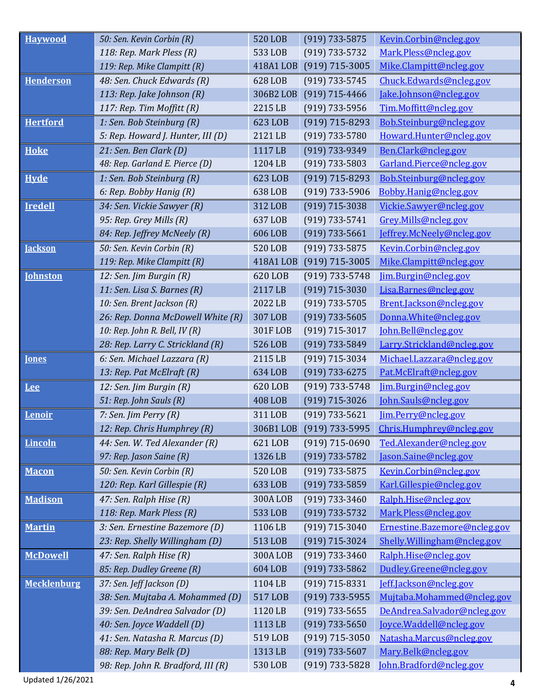| <b>Havwood</b>     | 50: Sen. Kevin Corbin (R)         | <b>520 LOB</b> | $(919) 733 - 5875$ | Kevin.Corbin@ncleg.gov       |
|--------------------|-----------------------------------|----------------|--------------------|------------------------------|
|                    | 118: Rep. Mark Pless (R)          | 533 LOB        | $(919) 733 - 5732$ | Mark.Pless@ncleg.gov         |
|                    | 119: Rep. Mike Clampitt (R)       | 418A1 LOB      | $(919)$ 715-3005   | Mike.Clampitt@ncleg.gov      |
| <b>Henderson</b>   | 48: Sen. Chuck Edwards (R)        | 628 LOB        | (919) 733-5745     | Chuck.Edwards@ncleg.gov      |
|                    | 113: Rep. Jake Johnson (R)        | 306B2 LOB      | $(919)$ 715-4466   | Jake.Johnson@ncleg.gov       |
|                    | 117: Rep. Tim Moffitt (R)         | 2215 LB        | $(919) 733 - 5956$ | Tim.Moffitt@ncleg.gov        |
| <b>Hertford</b>    | 1: Sen. Bob Steinburg (R)         | 623 LOB        | $(919) 715 - 8293$ | Bob.Steinburg@ncleg.gov      |
|                    | 5: Rep. Howard J. Hunter, III (D) | 2121 LB        | $(919) 733 - 5780$ | Howard.Hunter@ncleg.gov      |
| <b>Hoke</b>        | 21: Sen. Ben Clark (D)            | 1117 LB        | (919) 733-9349     | Ben.Clark@ncleg.gov          |
|                    | 48: Rep. Garland E. Pierce (D)    | 1204 LB        | $(919) 733 - 5803$ | Garland.Pierce@ncleg.gov     |
| <b>Hyde</b>        | 1: Sen. Bob Steinburg (R)         | 623 LOB        | $(919) 715 - 8293$ | Bob.Steinburg@ncleg.gov      |
|                    | 6: Rep. Bobby Hanig (R)           | 638 LOB        | $(919) 733 - 5906$ | Bobby.Hanig@ncleg.gov        |
| <b>Iredell</b>     | 34: Sen. Vickie Sawyer (R)        | 312 LOB        | $(919)$ 715-3038   | Vickie.Sawyer@ncleg.gov      |
|                    | 95: Rep. Grey Mills (R)           | 637 LOB        | $(919) 733 - 5741$ | Grey.Mills@ncleg.gov         |
|                    | 84: Rep. Jeffrey McNeely (R)      | 606 LOB        | $(919) 733 - 5661$ | Jeffrey.McNeely@ncleg.gov    |
| <b>Jackson</b>     | 50: Sen. Kevin Corbin (R)         | 520 LOB        | $(919) 733 - 5875$ | Kevin.Corbin@ncleg.gov       |
|                    | 119: Rep. Mike Clampitt (R)       | 418A1 LOB      | $(919)$ 715-3005   | Mike.Clampitt@ncleg.gov      |
| <b>Johnston</b>    | 12: Sen. Jim Burgin (R)           | 620 LOB        | $(919) 733 - 5748$ | Jim.Burgin@ncleg.gov         |
|                    | 11: Sen. Lisa S. Barnes (R)       | 2117 LB        | $(919)$ 715-3030   | Lisa.Barnes@ncleg.gov        |
|                    | 10: Sen. Brent Jackson (R)        | 2022 LB        | $(919) 733 - 5705$ | Brent.Jackson@ncleg.gov      |
|                    | 26: Rep. Donna McDowell White (R) | 307 LOB        | $(919) 733 - 5605$ | Donna.White@ncleg.gov        |
|                    | 10: Rep. John R. Bell, $IV(R)$    | 301FLOB        | $(919) 715 - 3017$ | John.Bell@ncleg.gov          |
|                    | 28: Rep. Larry C. Strickland (R)  | 526 LOB        | $(919) 733 - 5849$ | Larry.Strickland@ncleg.gov   |
| <b>Iones</b>       | 6: Sen. Michael Lazzara (R)       | 2115 LB        | (919) 715-3034     | Michael.Lazzara@ncleg.gov    |
|                    |                                   |                |                    |                              |
|                    | 13: Rep. Pat McElraft (R)         | 634 LOB        | $(919) 733 - 6275$ | Pat.McElraft@ncleg.gov       |
| Lee                | 12: Sen. Jim Burgin (R)           | 620 LOB        | $(919) 733 - 5748$ | Jim.Burgin@ncleg.gov         |
|                    | 51: Rep. John Sauls (R)           | <b>408 LOB</b> | $(919) 715 - 3026$ | John.Sauls@ncleg.gov         |
| Lenoir             | 7: Sen. Jim Perry $(R)$           | 311 LOB        | $(919) 733 - 5621$ | Jim.Perry@ncleg.gov          |
|                    | 12: Rep. Chris Humphrey (R)       | 306B1 LOB      | $(919)$ 733-5995   | Chris.Humphrey@ncleg.gov     |
| <b>Lincoln</b>     | 44: Sen. W. Ted Alexander (R)     | 621 LOB        | $(919)$ 715-0690   | Ted.Alexander@ncleg.gov      |
|                    | 97: Rep. Jason Saine (R)          | 1326 LB        | $(919) 733 - 5782$ | Jason.Saine@ncleg.gov        |
| <b>Macon</b>       | 50: Sen. Kevin Corbin (R)         | 520 LOB        | $(919) 733 - 5875$ | Kevin.Corbin@ncleg.gov       |
|                    | 120: Rep. Karl Gillespie (R)      | 633 LOB        | $(919) 733 - 5859$ | Karl.Gillespie@ncleg.gov     |
| <b>Madison</b>     | 47: Sen. Ralph Hise (R)           | <b>300ALOB</b> | $(919) 733 - 3460$ | Ralph.Hise@ncleg.gov         |
|                    | 118: Rep. Mark Pless (R)          | 533 LOB        | $(919) 733 - 5732$ | Mark.Pless@ncleg.gov         |
| <b>Martin</b>      | 3: Sen. Ernestine Bazemore (D)    | 1106 LB        | $(919)$ 715-3040   | Ernestine.Bazemore@ncleg.gov |
|                    | 23: Rep. Shelly Willingham (D)    | 513 LOB        | $(919)$ 715-3024   | Shelly.Willingham@ncleg.gov  |
| <b>McDowell</b>    | 47: Sen. Ralph Hise (R)           | 300A LOB       | $(919) 733 - 3460$ | Ralph.Hise@ncleg.gov         |
|                    | 85: Rep. Dudley Greene (R)        | 604 LOB        | $(919) 733 - 5862$ | Dudley.Greene@ncleg.gov      |
| <b>Mecklenburg</b> | 37: Sen. Jeff Jackson (D)         | 1104 LB        | $(919) 715 - 8331$ | Jeff.Jackson@ncleg.gov       |
|                    | 38: Sen. Mujtaba A. Mohammed (D)  | 517 LOB        | $(919)$ 733-5955   | Mujtaba.Mohammed@ncleg.gov   |
|                    | 39: Sen. DeAndrea Salvador (D)    | 1120 LB        | $(919)$ 733-5655   | DeAndrea.Salvador@ncleg.gov  |
|                    | 40: Sen. Joyce Waddell (D)        | 1113 LB        | $(919) 733 - 5650$ | Joyce.Waddell@ncleg.gov      |
|                    | 41: Sen. Natasha R. Marcus (D)    | 519 LOB        | $(919)$ 715-3050   | Natasha.Marcus@ncleg.gov     |
|                    | 88: Rep. Mary Belk (D)            | 1313 LB        | $(919) 733 - 5607$ | Mary.Belk@ncleg.gov          |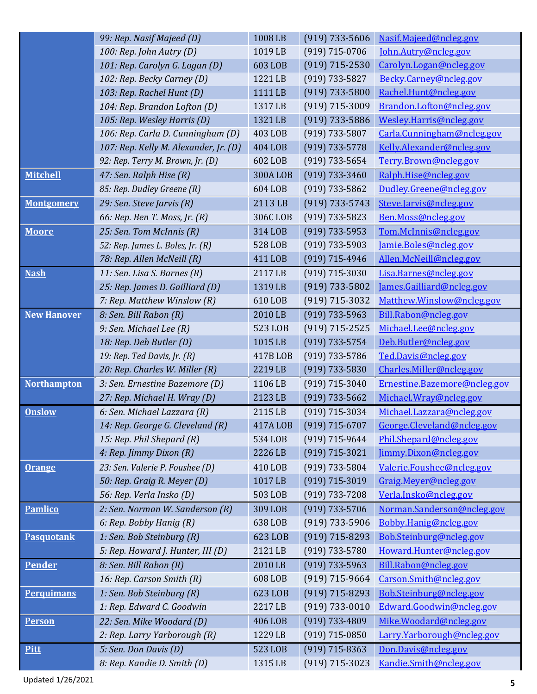|                    | 99: Rep. Nasif Majeed (D)                   | 1008 LB        | $(919)$ 733-5606   | Nasif.Majeed@ncleg.gov       |
|--------------------|---------------------------------------------|----------------|--------------------|------------------------------|
|                    | 100: Rep. John Autry (D)                    | 1019 LB        | $(919)$ 715-0706   | John.Autry@ncleg.gov         |
|                    | 101: Rep. Carolyn G. Logan (D)              | 603 LOB        | $(919) 715 - 2530$ | Carolyn.Logan@ncleg.gov      |
|                    | 102: Rep. Becky Carney (D)                  | 1221 LB        | $(919) 733 - 5827$ | Becky.Carney@ncleg.gov       |
|                    | 103: Rep. Rachel Hunt (D)                   | 1111 LB        | $(919) 733 - 5800$ | Rachel.Hunt@ncleg.gov        |
|                    | 104: Rep. Brandon Lofton (D)                | 1317 LB        | $(919)$ 715-3009   | Brandon.Lofton@ncleg.gov     |
|                    | 105: Rep. Wesley Harris (D)                 | 1321 LB        | $(919)$ 733-5886   | Wesley.Harris@ncleg.gov      |
|                    | 106: Rep. Carla D. Cunningham (D)           | 403 LOB        | $(919) 733 - 5807$ | Carla.Cunningham@ncleg.gov   |
|                    | 107: Rep. Kelly M. Alexander, Jr. (D)       | 404 LOB        | $(919) 733 - 5778$ | Kelly.Alexander@ncleg.gov    |
|                    | 92: Rep. Terry M. Brown, Jr. (D)            | 602 LOB        | $(919) 733 - 5654$ | Terry.Brown@ncleg.gov        |
| <b>Mitchell</b>    | 47: Sen. Ralph Hise (R)                     | <b>300ALOB</b> | $(919) 733 - 3460$ | Ralph.Hise@ncleg.gov         |
|                    | 85: Rep. Dudley Greene (R)                  | 604 LOB        | $(919) 733 - 5862$ | Dudley.Greene@ncleg.gov      |
| <b>Montgomery</b>  | 29: Sen. Steve Jarvis (R)                   | 2113 LB        | $(919) 733 - 5743$ | Steve.Jarvis@ncleg.gov       |
|                    | 66: Rep. Ben T. Moss, Jr. (R)               | 306C LOB       | $(919) 733 - 5823$ | Ben.Moss@ncleg.gov           |
| <b>Moore</b>       | 25: Sen. Tom McInnis (R)                    | 314 LOB        | $(919)$ 733-5953   | Tom.McInnis@ncleg.gov        |
|                    | 52: Rep. James L. Boles, Jr. (R)            | 528 LOB        | $(919) 733 - 5903$ | Jamie.Boles@ncleg.gov        |
|                    | 78: Rep. Allen McNeill (R)                  | 411 LOB        | $(919)$ 715-4946   | Allen.McNeill@ncleg.gov      |
| <b>Nash</b>        | 11: Sen. Lisa S. Barnes (R)                 | 2117 LB        | $(919)$ 715-3030   | Lisa.Barnes@ncleg.gov        |
|                    | 25: Rep. James D. Gailliard (D)             | 1319 LB        | $(919) 733 - 5802$ | James.Gailliard@ncleg.gov    |
|                    | 7: Rep. Matthew Winslow (R)                 | 610 LOB        | $(919)$ 715-3032   | Matthew.Winslow@ncleg.gov    |
| <b>New Hanover</b> | 8: Sen. Bill Rabon (R)                      | 2010 LB        | $(919)$ 733-5963   | Bill.Rabon@ncleg.gov         |
|                    | 9: Sen. Michael Lee (R)                     | 523 LOB        | $(919) 715 - 2525$ | Michael.Lee@ncleg.gov        |
|                    | 18: Rep. Deb Butler (D)                     | 1015 LB        | $(919) 733 - 5754$ | Deb.Butler@ncleg.gov         |
|                    | 19: Rep. Ted Davis, $\overline{Jr}$ . $(R)$ | 417B LOB       | $(919)$ 733-5786   | Ted.Davis@ncleg.gov          |
|                    | 20: Rep. Charles W. Miller (R)              | 2219 LB        | $(919) 733 - 5830$ | Charles.Miller@ncleg.gov     |
| <b>Northampton</b> | 3: Sen. Ernestine Bazemore (D)              | 1106 LB        | $(919) 715 - 3040$ | Ernestine.Bazemore@ncleg.gov |
|                    | 27: Rep. Michael H. Wray (D)                | 2123 LB        | $(919) 733 - 5662$ | Michael.Wray@ncleg.gov       |
| <b>Onslow</b>      | 6: Sen. Michael Lazzara (R)                 | 2115 LB        | $(919)$ 715-3034   | Michael.Lazzara@ncleg.gov    |
|                    | 14: Rep. George G. Cleveland (R)            | 417A LOB       | $(919)$ 715-6707   | George.Cleveland@ncleg.gov   |
|                    | 15: Rep. Phil Shepard (R)                   | 534 LOB        | $(919)$ 715-9644   | Phil.Shepard@ncleg.gov       |
|                    | 4: Rep. Jimmy Dixon (R)                     | 2226 LB        | $(919) 715 - 3021$ | Jimmy.Dixon@ncleg.gov        |
| <b>Orange</b>      | 23: Sen. Valerie P. Foushee (D)             | 410 LOB        | $(919)$ 733-5804   | Valerie.Foushee@ncleg.gov    |
|                    | 50: Rep. Graig R. Meyer (D)                 | 1017 LB        | (919) 715-3019     | Graig.Meyer@ncleg.gov        |
|                    | 56: Rep. Verla Insko (D)                    | 503 LOB        | $(919) 733 - 7208$ | Verla.Insko@ncleg.gov        |
| <b>Pamlico</b>     | 2: Sen. Norman W. Sanderson (R)             | 309 LOB        | $(919)$ 733-5706   | Norman.Sanderson@ncleg.gov   |
|                    | 6: Rep. Bobby Hanig (R)                     | 638 LOB        | $(919)$ 733-5906   | Bobby.Hanig@ncleg.gov        |
| <b>Pasquotank</b>  | 1: Sen. Bob Steinburg (R)                   | 623 LOB        | $(919)$ 715-8293   | Bob.Steinburg@ncleg.gov      |
|                    | 5: Rep. Howard J. Hunter, III (D)           | 2121 LB        | $(919) 733 - 5780$ | Howard.Hunter@ncleg.gov      |
| <b>Pender</b>      | 8: Sen. Bill Rabon (R)                      | 2010 LB        | $(919) 733 - 5963$ | Bill.Rabon@ncleg.gov         |
|                    | 16: Rep. Carson Smith (R)                   | 608 LOB        | $(919)$ 715-9664   | Carson.Smith@ncleg.gov       |
| <b>Perquimans</b>  | 1: Sen. Bob Steinburg (R)                   | 623 LOB        | $(919)$ 715-8293   | Bob.Steinburg@ncleg.gov      |
|                    | 1: Rep. Edward C. Goodwin                   | 2217 LB        | $(919) 733 - 0010$ | Edward.Goodwin@ncleg.gov     |
| <b>Person</b>      | 22: Sen. Mike Woodard (D)                   | 406 LOB        | $(919) 733 - 4809$ | Mike.Woodard@ncleg.gov       |
|                    | 2: Rep. Larry Yarborough (R)                | 1229 LB        | $(919)$ 715-0850   | Larry.Yarborough@ncleg.gov   |
| Pitt               | 5: Sen. Don Davis (D)                       | 523 LOB        | $(919)$ 715-8363   | Don.Davis@ncleg.gov          |
|                    | 8: Rep. Kandie D. Smith (D)                 | 1315 LB        | $(919)$ 715-3023   | Kandie.Smith@ncleg.gov       |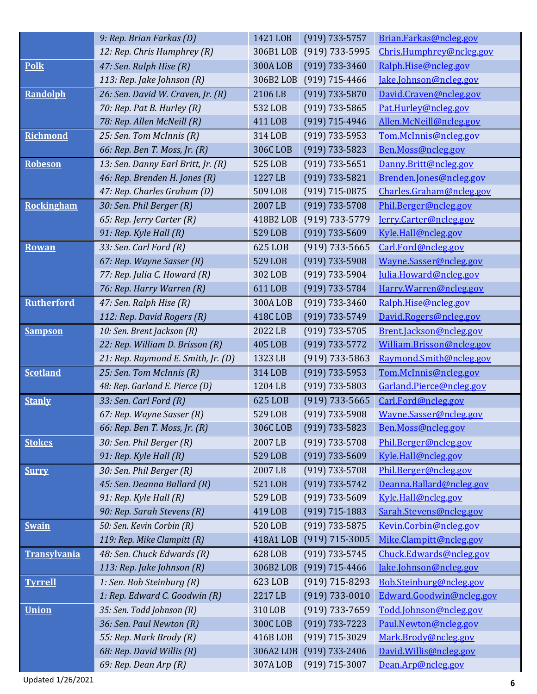|                     | 9: Rep. Brian Farkas (D)           | 1421 LOB       | $(919) 733 - 5757$ | Brian.Farkas@ncleg.gov    |
|---------------------|------------------------------------|----------------|--------------------|---------------------------|
|                     | 12: Rep. Chris Humphrey (R)        | 306B1 LOB      | $(919)$ 733-5995   | Chris.Humphrey@ncleg.gov  |
| <b>Polk</b>         | 47: Sen. Ralph Hise (R)            | <b>300ALOB</b> | $(919) 733 - 3460$ | Ralph.Hise@ncleg.gov      |
|                     | 113: Rep. Jake Johnson $(R)$       | 306B2 LOB      | $(919)$ 715-4466   | Jake.Johnson@ncleg.gov    |
| Randolph            | 26: Sen. David W. Craven, Jr. (R)  | 2106 LB        | $(919) 733 - 5870$ | David.Craven@ncleg.gov    |
|                     | 70: Rep. Pat B. Hurley (R)         | 532 LOB        | $(919) 733 - 5865$ | Pat.Hurley@ncleg.gov      |
|                     | 78: Rep. Allen McNeill (R)         | 411 LOB        | $(919)$ 715-4946   | Allen.McNeill@ncleg.gov   |
| <b>Richmond</b>     | 25: Sen. Tom McInnis (R)           | 314 LOB        | $(919)$ 733-5953   | Tom.McInnis@ncleg.gov     |
|                     | 66: Rep. Ben T. Moss, Jr. (R)      | 306C LOB       | $(919)$ 733-5823   | Ben.Moss@ncleg.gov        |
| <b>Robeson</b>      | 13: Sen. Danny Earl Britt, Jr. (R) | 525 LOB        | $(919) 733 - 5651$ | Danny.Britt@ncleg.gov     |
|                     | 46: Rep. Brenden H. Jones (R)      | 1227 LB        | $(919) 733 - 5821$ | Brenden.Jones@ncleg.gov   |
|                     | 47: Rep. Charles Graham (D)        | 509 LOB        | $(919)$ 715-0875   | Charles.Graham@ncleg.gov  |
| <b>Rockingham</b>   | 30: Sen. Phil Berger (R)           | 2007 LB        | $(919) 733 - 5708$ | Phil.Berger@ncleg.gov     |
|                     | 65: Rep. Jerry Carter (R)          | 418B2 LOB      | (919) 733-5779     | Jerry.Carter@ncleg.gov    |
|                     | 91: Rep. Kyle Hall (R)             | 529 LOB        | $(919)$ 733-5609   | Kyle.Hall@ncleg.gov       |
| <b>Rowan</b>        | 33: Sen. Carl Ford (R)             | 625 LOB        | $(919)$ 733-5665   | Carl.Ford@ncleg.gov       |
|                     | 67: Rep. Wayne Sasser (R)          | 529 LOB        | $(919) 733 - 5908$ | Wayne.Sasser@ncleg.gov    |
|                     | 77: Rep. Julia C. Howard (R)       | 302 LOB        | $(919) 733 - 5904$ | Julia.Howard@ncleg.gov    |
|                     | 76: Rep. Harry Warren (R)          | 611 LOB        | $(919) 733 - 5784$ | Harry.Warren@ncleg.gov    |
| <b>Rutherford</b>   | 47: Sen. Ralph Hise (R)            | <b>300ALOB</b> | $(919) 733 - 3460$ | Ralph.Hise@ncleg.gov      |
|                     | 112: Rep. David Rogers (R)         | 418C LOB       | $(919) 733 - 5749$ | David.Rogers@ncleg.gov    |
| <b>Sampson</b>      | 10: Sen. Brent Jackson (R)         | 2022 LB        | $(919) 733 - 5705$ | Brent.Jackson@ncleg.gov   |
|                     | 22: Rep. William D. Brisson (R)    | 405 LOB        | $(919) 733 - 5772$ | William.Brisson@ncleg.gov |
|                     | 21: Rep. Raymond E. Smith, Jr. (D) | 1323 LB        | $(919) 733 - 5863$ | Raymond.Smith@ncleg.gov   |
| <b>Scotland</b>     | 25: Sen. Tom McInnis (R)           | 314 LOB        | $(919) 733 - 5953$ | Tom.McInnis@ncleg.gov     |
|                     | 48: Rep. Garland E. Pierce (D)     | 1204 LB        | $(919) 733 - 5803$ | Garland.Pierce@ncleg.gov  |
| <b>Stanly</b>       | 33: Sen. Carl Ford (R)             | 625 LOB        | $(919)$ 733-5665   | Carl.Ford@ncleg.gov       |
|                     | 67: Rep. Wayne Sasser (R)          | 529 LOB        | $(919) 733 - 5908$ | Wayne.Sasser@ncleg.gov    |
|                     | 66: Rep. Ben T. Moss, Jr. (R)      | 306C LOB       | $(919) 733 - 5823$ | Ben.Moss@ncleg.gov        |
| <b>Stokes</b>       | 30: Sen. Phil Berger (R)           | 2007 LB        | (919) 733-5708     | Phil.Berger@ncleg.gov     |
|                     | 91: Rep. Kyle Hall (R)             | 529 LOB        | $(919) 733 - 5609$ | Kyle.Hall@ncleg.gov       |
| <b>Surry</b>        | 30: Sen. Phil Berger (R)           | 2007 LB        | (919) 733-5708     | Phil.Berger@ncleg.gov     |
|                     | 45: Sen. Deanna Ballard (R)        | 521 LOB        | $(919) 733 - 5742$ | Deanna.Ballard@ncleg.gov  |
|                     | 91: Rep. Kyle Hall (R)             | 529 LOB        | $(919) 733 - 5609$ | Kyle.Hall@ncleg.gov       |
|                     | 90: Rep. Sarah Stevens (R)         | 419 LOB        | $(919)$ 715-1883   | Sarah.Stevens@ncleg.gov   |
| <b>Swain</b>        | 50: Sen. Kevin Corbin (R)          | 520 LOB        | $(919) 733 - 5875$ | Kevin.Corbin@ncleg.gov    |
|                     | 119: Rep. Mike Clampitt (R)        | 418A1 LOB      | $(919)$ 715-3005   | Mike.Clampitt@ncleg.gov   |
| <b>Transylvania</b> | 48: Sen. Chuck Edwards (R)         | 628 LOB        | $(919) 733 - 5745$ | Chuck.Edwards@ncleg.gov   |
|                     | 113: Rep. Jake Johnson (R)         | 306B2 LOB      | $(919)$ 715-4466   | Jake.Johnson@ncleg.gov    |
| <b>Tyrrell</b>      | 1: Sen. Bob Steinburg (R)          | 623 LOB        | $(919) 715 - 8293$ | Bob.Steinburg@ncleg.gov   |
|                     | 1: Rep. Edward C. Goodwin (R)      | 2217 LB        | $(919) 733 - 0010$ | Edward.Goodwin@ncleg.gov  |
| <b>Union</b>        | 35: Sen. Todd Johnson (R)          | 310 LOB        | $(919)$ 733-7659   | Todd.Johnson@ncleg.gov    |
|                     | 36: Sen. Paul Newton (R)           | <b>300CLOB</b> | $(919) 733 - 7223$ | Paul.Newton@ncleg.gov     |
|                     | 55: Rep. Mark Brody (R)            | 416BLOB        | (919) 715-3029     | Mark.Brody@ncleg.gov      |
|                     | 68: Rep. David Willis (R)          | 306A2 LOB      | $(919) 733 - 2406$ | David.Willis@ncleg.gov    |
|                     | 69: Rep. Dean Arp (R)              | 307A LOB       | $(919)$ 715-3007   | Dean.Arp@ncleg.gov        |